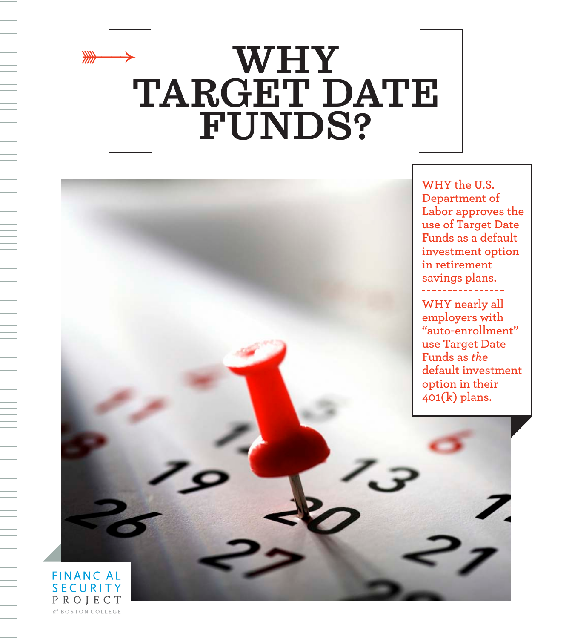



at BOSTON COLLEGE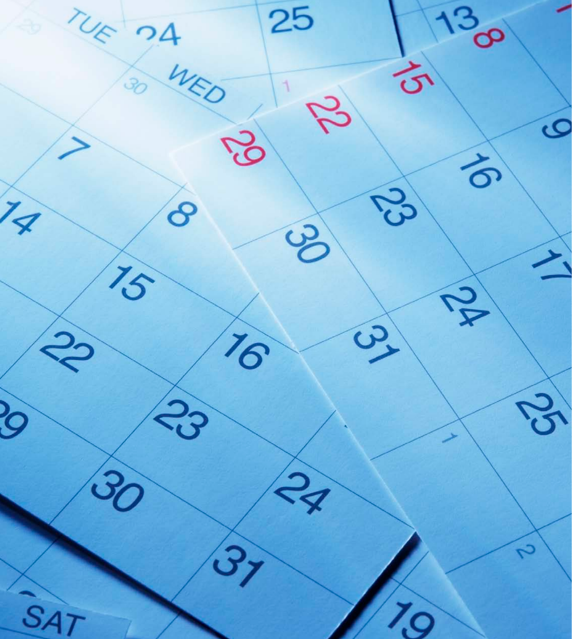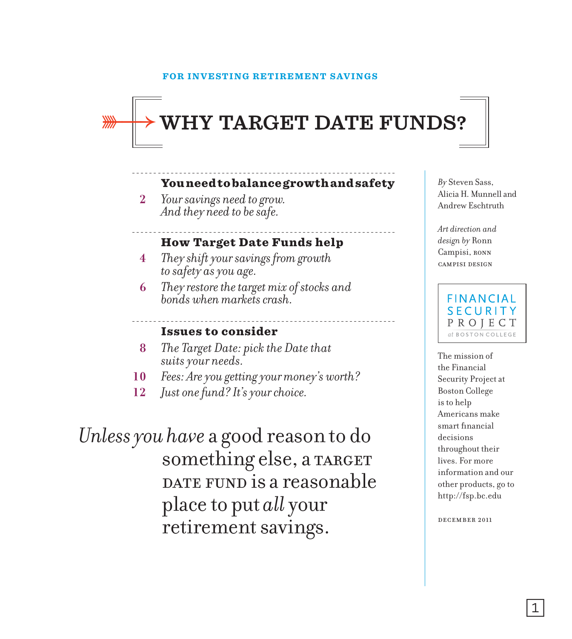#### **FOR INVESTING RETIREMENT SAVINGS**



# RRRR**WHY TARGET DATE FUNDS?**

#### You need to balance growth and safety

**<sup>2</sup>** *Your savings need to grow. And they need to be safe.*

### How Target Date Funds help

- **4** *They shift your savings from growth to safety as you age.*
- **6** *They restore the target mix of stocks and bonds when markets crash.*

#### Issues to consider

- **8** *The Target Date: pick the Date that suits your needs.*
- **10** *Fees: Are you getting your money's worth?*
- **12** *Just one fund? It's your choice.*

 *Unless you have* a good reason to do something else, a TARGET DATE FUND is a reasonable place to put *all* your retirement savings.

*By* Steven Sass, Alicia H. Munnell and Andrew Eschtruth

*Art direction and design by* Ronn Campisi, Ronn Campisi Design



The mission of the Financial Security Project at Boston College is to help Americans make smart financial decisions throughout their lives. For more information and our other products, go to http://fsp.bc.edu

december 2011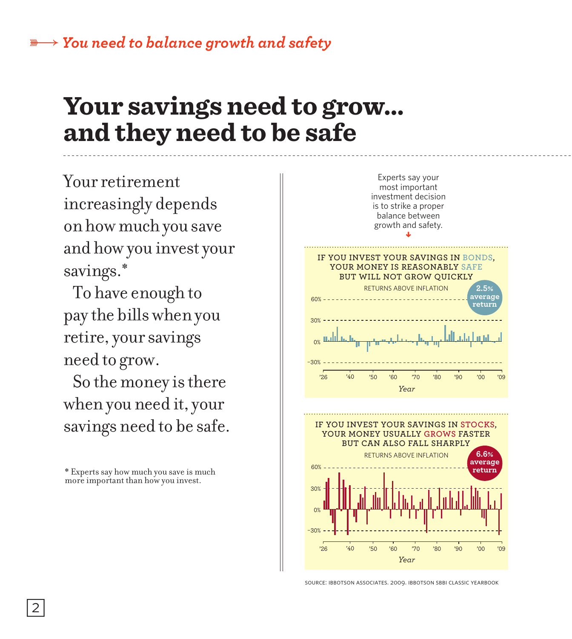## **Your savings need to grow… and they need to be safe**

Your retirement increasingly depends on how much you save and how you invest your savings.\*

To have enough to pay the bills when you retire, your savings need to grow.

So the money is there when you need it, your savings need to be safe.

\* Experts say how much you save is much more important than how you invest.



source: Ibbotson Associates. 2009. Ibbotson SBBI Classic Yearbook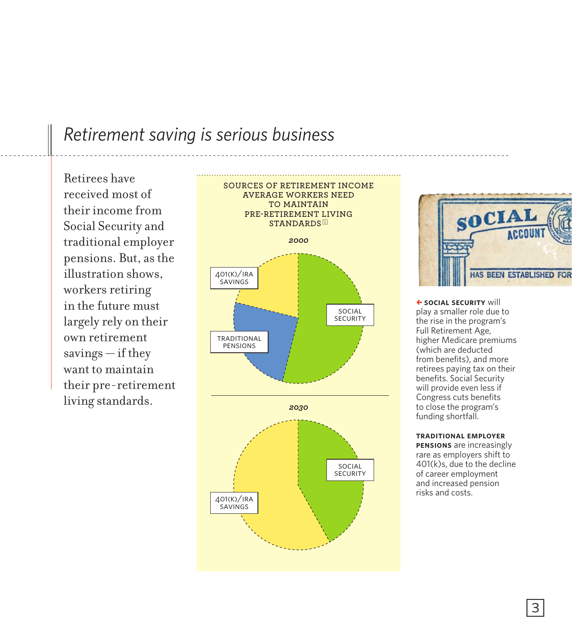### *Retirement saving is serious business*

Retirees have received most of their income from Social Security and traditional employer pensions. But, as the illustration shows, workers retiring in the future must largely rely on their own retirement savings — if they want to maintain their pre-retirement living standards.





← SOCIAL SECURITY will play a smaller role due to the rise in the program's Full Retirement Age, higher Medicare premiums (which are deducted from benefits), and more retirees paying tax on their benefits. Social Security will provide even less if Congress cuts benefits to close the program's funding shortfall.

#### **Traditional employer**

**pensions** are increasingly rare as employers shift to 401(k)s, due to the decline of career employment and increased pension risks and costs.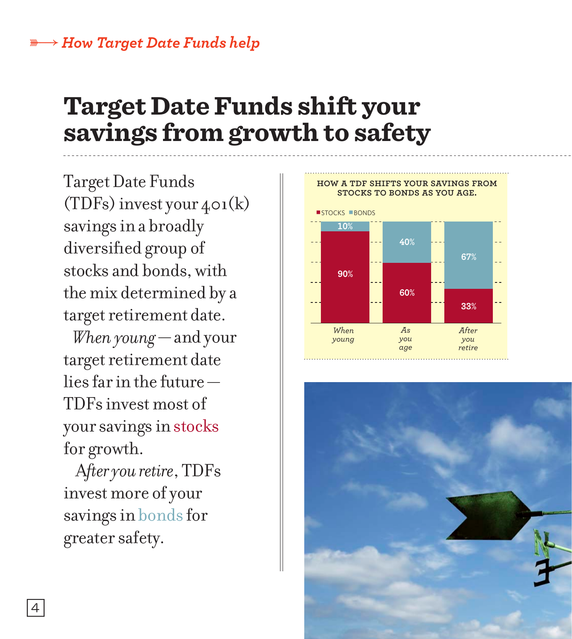## **Target Date Funds shift your savings from growth to safety**

Target Date Funds (TDFs) investy our  $40(1)$ savings in a broadly diversified group of stocks and bonds, with the mix determined by a target retirement date.

*When young* — and your target retirement date lies far in the future — TDFs invest most of your savings in stocks for growth.

 A*fter you retire*, TDFs invest more of your savings in bonds for greater safety.



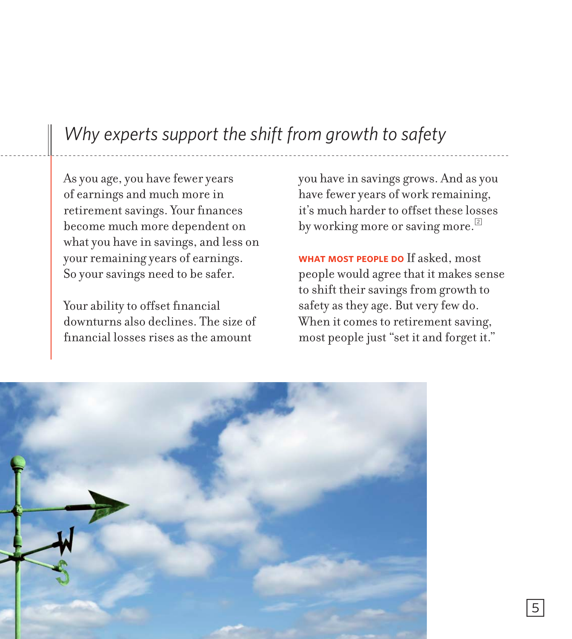### *Why experts support the shift from growth to safety*

As you age, you have fewer years of earnings and much more in retirement savings. Your finances become much more dependent on what you have in savings, and less on your remaining years of earnings. So your savings need to be safer.

Your ability to offset financial downturns also declines. The size of financial losses rises as the amount

you have in savings grows. And as you have fewer years of work remaining, it's much harder to offset these losses by working more or saving more. $2$ 

WHAT MOST PEOPLE DO If asked, most people would agree that it makes sense to shift their savings from growth to safety as they age. But very few do. When it comes to retirement saving, most people just "set it and forget it."

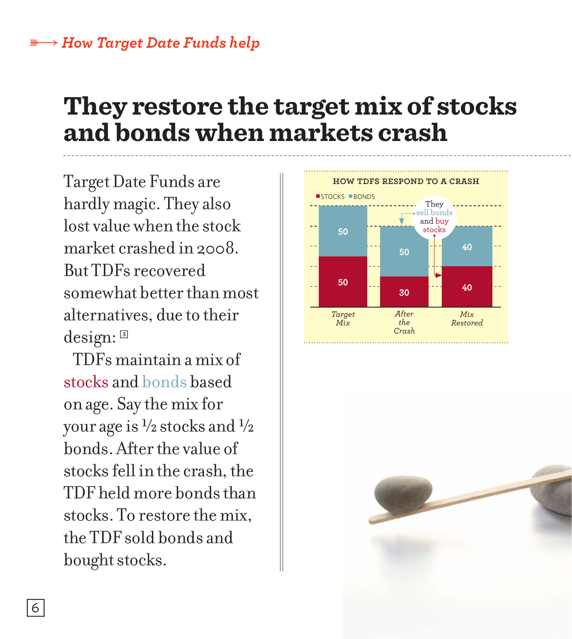## **They restore the target mix of stocks and bonds when markets crash**

Target Date Funds are hardly magic. They also lost value when the stock market crashed in 2008. But TDFs recovered somewhat better than most alternatives, due to their design: 3

TDFs maintain a mix of stocks and bonds based on age. Say the mix for your age is ½ stocks and ½ bonds. After the value of stocks fell in the crash, the TDF held more bonds than stocks. To restore the mix, the TDF sold bonds and bought stocks.



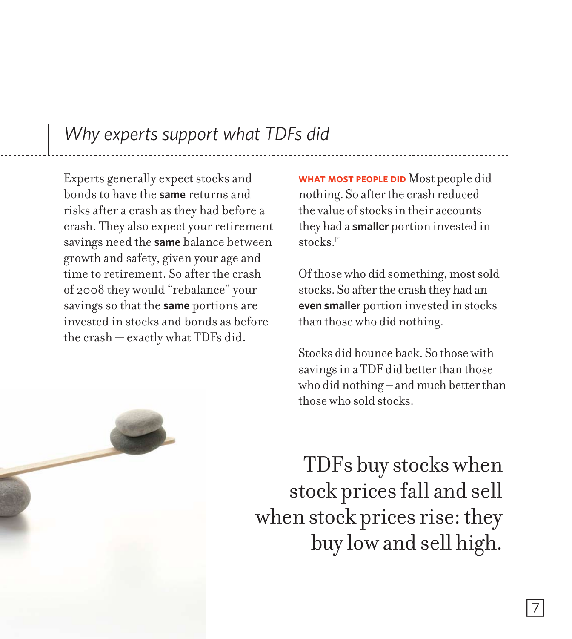### *Why experts support what TDFs did*

Experts generally expect stocks and bonds to have the **same** returns and risks after a crash as they had before a crash. They also expect your retirement savings need the **same** balance between growth and safety, given your age and time to retirement. So after the crash of 2008 they would "rebalance" your savings so that the **same** portions are invested in stocks and bonds as before the crash — exactly what TDFs did.

**What most people did** Most people did nothing. So after the crash reduced the value of stocks in their accounts they had a **smaller** portion invested in stocks.<sup>4</sup>

Of those who did something, most sold stocks. So after the crash they had an **even smaller** portion invested in stocks than those who did nothing.

Stocks did bounce back. So those with savings in a TDF did better than those who did nothing – and much better than those who sold stocks.

TDFs buy stocks when stock prices fall and sell when stock prices rise: they buy low and sell high.



7

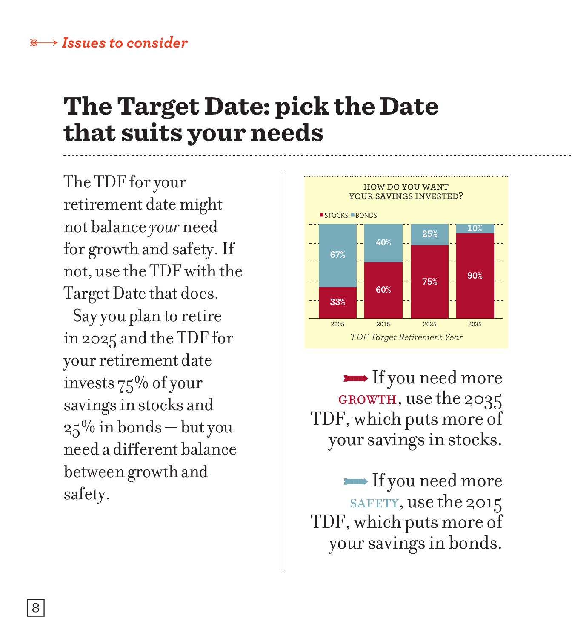## **The Target Date: pick the Date that suits your needs**

The TDF for your retirement date might not balance *your* need for growth and safety. If not, use the TDF with the Target Date that does.

Say you plan to retire in 2025 and the TDF for your retirement date invests 75% of your savings in stocks and 25% in bonds — but you need a different balance between growth and safety.



If you need more growth, use the 2035 TDF, which puts more of your savings in stocks.

If you need more safety, use the 2015 TDF, which puts more of your savings in bonds.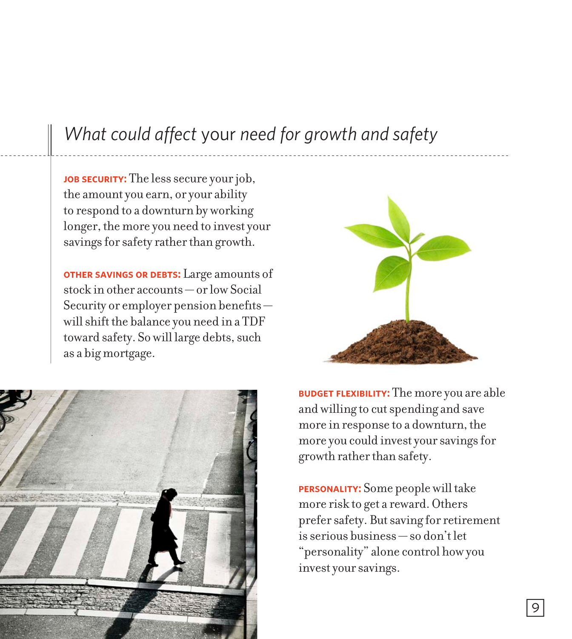### *What could affect* your *need for growth and safety*

**JOB SECURITY:** The less secure your job, the amount you earn, or your ability to respond to a downturn by working longer, the more you need to invest your savings for safety rather than growth.

**Other Savings or Debts:** Large amounts of stock in other accounts — or low Social Security or employer pension benefits will shift the balance you need in a TDF toward safety. So will large debts, such as a big mortgage.





**Budget flexibility:** The more you are able and willing to cut spending and save more in response to a downturn, the more you could invest your savings for growth rather than safety.

**Personality:** Some people will take more risk to get a reward. Others prefer safety. But saving for retirement is serious business — so don't let "personality" alone control how you invest your savings.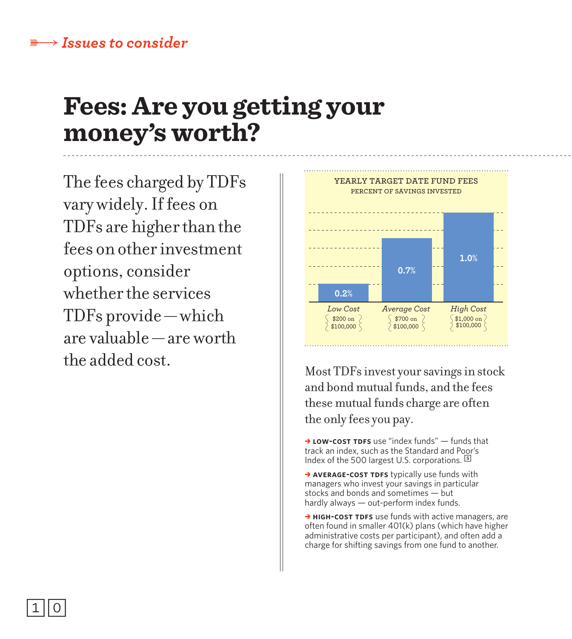$\boxed{1}$  $\boxed{0}$ 

## **Fees: Are you getting your money's worth?**

The fees charged by TDFs vary widely. If fees on TDFs are higher than the fees on other investment options, consider whether the services TDFs provide — which are valuable — are worth the added cost.



Most TDFs invest your savings in stock and bond mutual funds, and the fees these mutual funds charge are often the only fees you pay.

, **Low-cost TDFs** use "index funds" — funds that track an index, such as the Standard and Poor's Index of the 500 largest U.S. corporations.  $[5]$ 

**→ AVERAGE-COST TDFS** typically use funds with managers who invest your savings in particular stocks and bonds and sometimes — but hardly always — out-perform index funds.

**→ HIGH-COST TDFS** use funds with active managers, are often found in smaller 401(k) plans (which have higher administrative costs per participant), and often add a charge for shifting savings from one fund to another.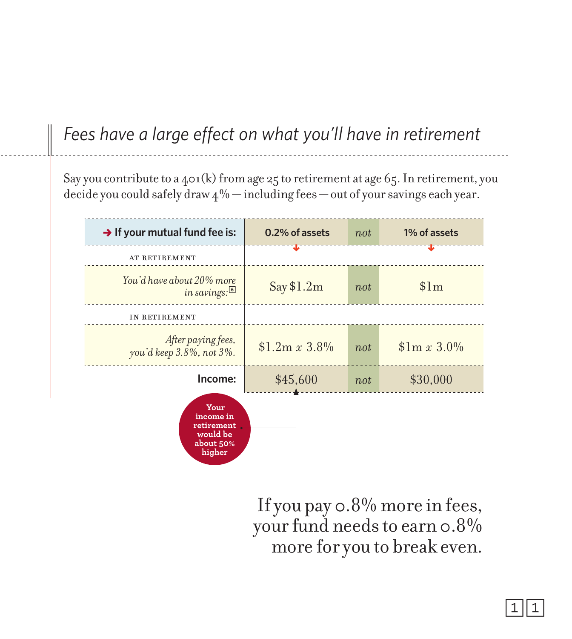### *Fees have a large effect on what you'll have in retirement*

Say you contribute to a 401(k) from age 25 to retirement at age 65. In retirement, you decide you could safely draw 4% — including fees — out of your savings each year.

| $\rightarrow$ If your mutual fund fee is:                          | 0.2% of assets  | not | 1% of assets           |
|--------------------------------------------------------------------|-----------------|-----|------------------------|
| AT RETIREMENT                                                      |                 |     |                        |
| You'd have about 20% more<br>in savings: $[6]$                     | Say \$1.2m      | not | \$1m                   |
| IN RETIREMENT                                                      |                 |     |                        |
| After paying fees,<br>you'd keep 3.8%, not 3%.                     | $$1.2m x 3.8\%$ | not | $\frac{\sin x}{3.0\%}$ |
| Income:                                                            | \$45,600        | not | \$30,000               |
| Your<br>income in<br>retirement<br>would be<br>about 50%<br>higher |                 |     |                        |

If you pay 0.8% more in fees, your fund needs to earn 0.8% more for you to break even.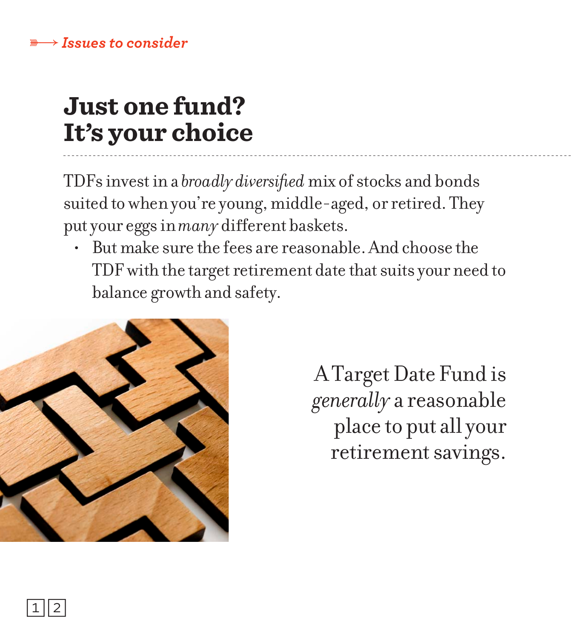## **Just one fund? It's your choice**

TDFs invest in a *broadly diversified* mix of stocks and bonds suited to when you're young, middle-aged, or retired. They put your eggs in *many* different baskets.

• But make sure the fees are reasonable. And choose the TDF with the target retirement date that suits your need to balance growth and safety.



A Target Date Fund is *generally* a reasonable place to put all your retirement savings.

 $\boxed{1}$  $\boxed{2}$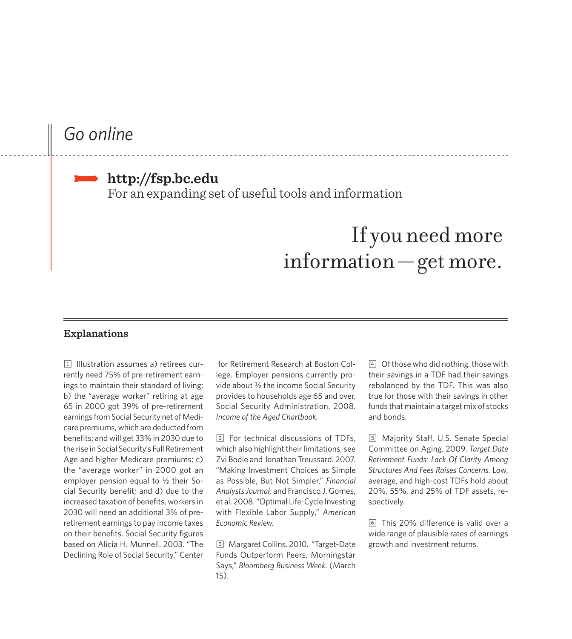### *Go online*

#### **http://fsp.bc.edu** CCCCC

For an expanding set of useful tools and information

## If you need more information — get more.

#### **Explanations**

1 Illustration assumes a) retirees currently need 75% of pre-retirement earnings to maintain their standard of living; b) the "average worker" retiring at age 65 in 2000 got 39% of pre-retirement earnings from Social Security net of Medicare premiums, which are deducted from benefits; and will get 33% in 2030 due to the rise in Social Security's Full Retirement Age and higher Medicare premiums; c) the "average worker" in 2000 got an employer pension equal to ½ their Social Security benefit; and d) due to the increased taxation of benefits, workers in 2030 will need an additional 3% of preretirement earnings to pay income taxes on their benefits. Social Security figures based on Alicia H. Munnell. 2003. "The Declining Role of Social Security." Center

 for Retirement Research at Boston College. Employer pensions currently provide about ½ the income Social Security provides to households age 65 and over. Social Security Administration. 2008. *Income of the Aged Chartbook.* 

2 For technical discussions of TDFs, which also highlight their limitations, see Zvi Bodie and Jonathan Treussard. 2007. "Making Investment Choices as Simple as Possible, But Not Simpler," *Financial Analysts Journal;* and Francisco J. Gomes, et al. 2008. "Optimal Life-Cycle Investing with Flexible Labor Supply," *American Economic Review.*

3 Margaret Collins. 2010. "Target-Date Funds Outperform Peers, Morningstar Says," *Bloomberg Business Week*. (March 15).

4 Of those who did nothing, those with their savings in a TDF had their savings rebalanced by the TDF. This was also true for those with their savings in other funds that maintain a target mix of stocks and bonds.

**5** Majority Staff, U.S. Senate Special Committee on Aging. 2009. *Target Date Retirement Funds: Lack Of Clarity Among Structures And Fees Raises Concerns.* Low, average, and high-cost TDFs hold about 20%, 55%, and 25% of TDF assets, respectively.

6 This 20% difference is valid over a wide range of plausible rates of earnings growth and investment returns.